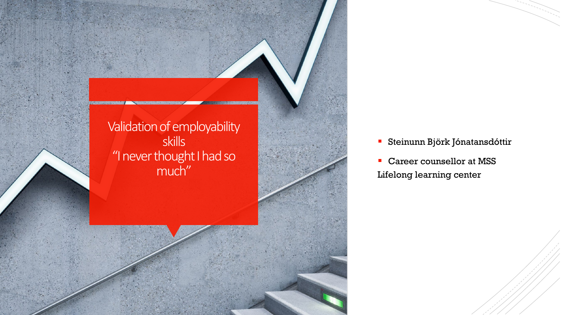

- Steinunn Björk Jónatansdóttir
- Career counsellor at MSS Lifelong learning center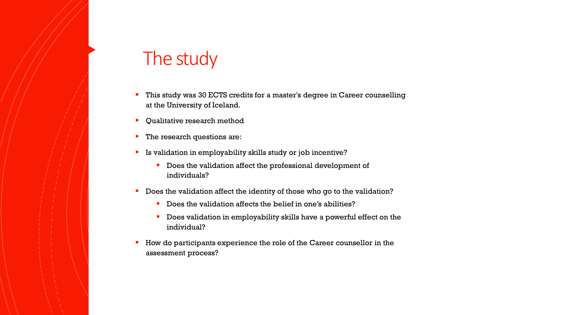## The study

- This study was 30 ECTS credits for a master's degree in Career counselling at the University of Iceland.
- Qualitative research method
- The research questions are:
- **IS validation in employability skills study or job incentive?** 
	- Does the validation affect the professional development of individuals?
- Does the validation affect the identity of those who go to the validation?
	- Does the validation affects the belief in one's abilities?
	- Does validation in employability skills have a powerful effect on the individual?
- How do participants experience the role of the Career counsellor in the assessment process?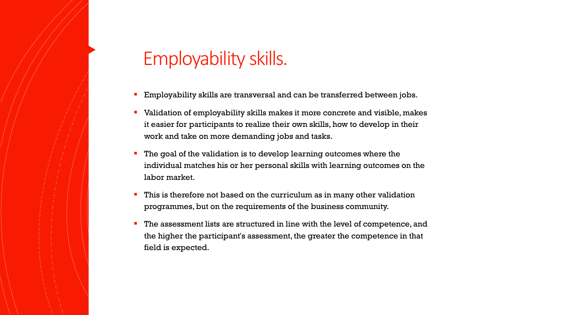## Employability skills.

- **Employability skills are transversal and can be transferred between jobs.**
- Validation of employability skills makes it more concrete and visible, makes it easier for participants to realize their own skills, how to develop in their work and take on more demanding jobs and tasks.
- The goal of the validation is to develop learning outcomes where the individual matches his or her personal skills with learning outcomes on the labor market.
- This is therefore not based on the curriculum as in many other validation programmes, but on the requirements of the business community.
- The assessment lists are structured in line with the level of competence, and the higher the participant's assessment, the greater the competence in that field is expected.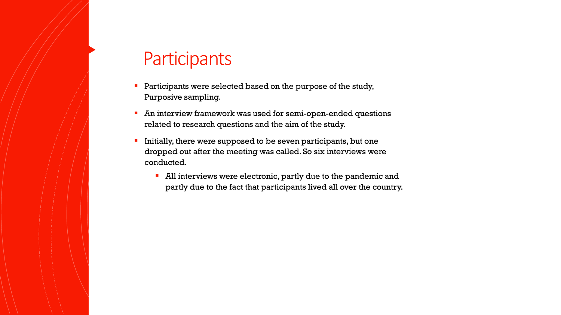## **Participants**

- Participants were selected based on the purpose of the study, Purposive sampling.
- **An interview framework was used for semi-open-ended questions** related to research questions and the aim of the study.
- Initially, there were supposed to be seven participants, but one dropped out after the meeting was called. So six interviews were conducted.
	- **All interviews were electronic, partly due to the pandemic and** partly due to the fact that participants lived all over the country.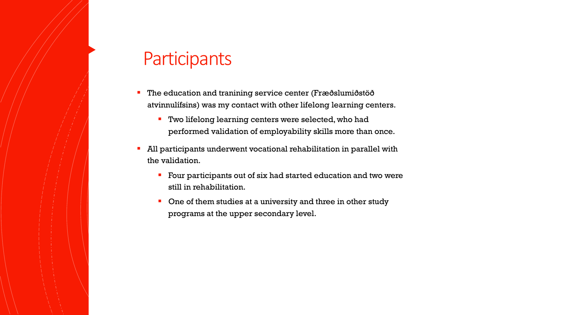#### **Participants**

- The education and tranining service center (Fræðslumiðstöð atvinnulífsins) was my contact with other lifelong learning centers.
	- **Two lifelong learning centers were selected, who had** performed validation of employability skills more than once.
- All participants underwent vocational rehabilitation in parallel with the validation.
	- Four participants out of six had started education and two were still in rehabilitation.
	- One of them studies at a university and three in other study programs at the upper secondary level.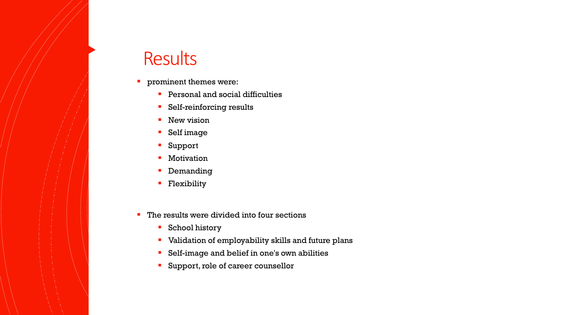#### **Results**

- **•** prominent themes were:
	- **Personal and social difficulties**
	- **Self-reinforcing results**
	- **New vision**
	- Self image
	- Support
	- **Motivation**
	- **Demanding**
	- **Flexibility**
- The results were divided into four sections
	- School history
	- Validation of employability skills and future plans
	- Self-image and belief in one's own abilities
	- **Support, role of career counsellor**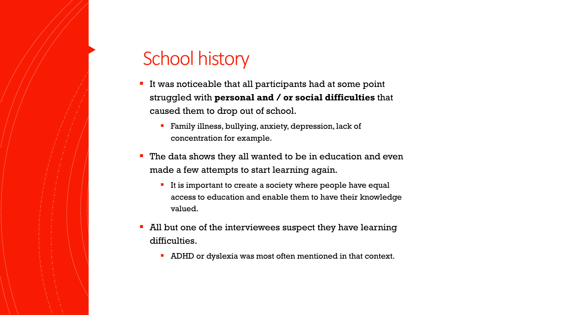# School history

- If was noticeable that all participants had at some point struggled with **personal and / or social difficulties** that caused them to drop out of school.
	- **Family illness, bullying, anxiety, depression, lack of** concentration for example.
- **The data shows they all wanted to be in education and even** made a few attempts to start learning again.
	- If is important to create a society where people have equal access to education and enable them to have their knowledge valued.
- All but one of the interviewees suspect they have learning difficulties.
	- ADHD or dyslexia was most often mentioned in that context.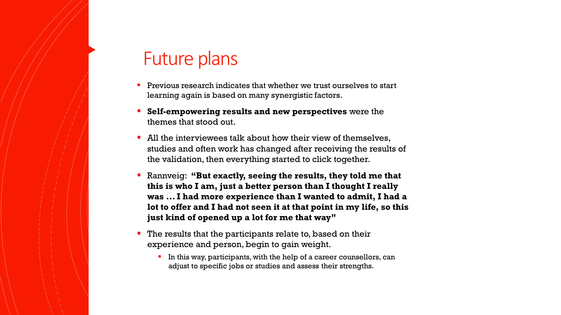## Future plans

- Previous research indicates that whether we trust ourselves to start learning again is based on many synergistic factors.
- **Self-empowering results and new perspectives** were the themes that stood out.
- All the interviewees talk about how their view of themselves, studies and often work has changed after receiving the results of the validation, then everything started to click together.
- Rannveig: **"But exactly, seeing the results, they told me that this is who I am, just a better person than I thought I really was ... I had more experience than I wanted to admit, I had a lot to offer and I had not seen it at that point in my life, so this just kind of opened up a lot for me that way"**
- The results that the participants relate to, based on their experience and person, begin to gain weight.
	- In this way, participants, with the help of a career counsellors, can adjust to specific jobs or studies and assess their strengths.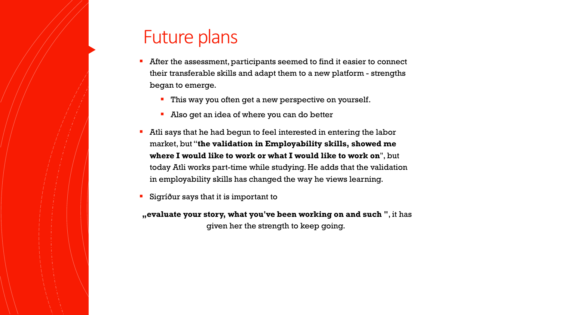## Future plans

- After the assessment, participants seemed to find it easier to connect their transferable skills and adapt them to a new platform - strengths began to emerge.
	- **This way you often get a new perspective on yourself.**
	- Also get an idea of where you can do better
- Atli says that he had begun to feel interested in entering the labor market, but "**the validation in Employability skills, showed me where I would like to work or what I would like to work on**", but today Atli works part-time while studying. He adds that the validation in employability skills has changed the way he views learning.
- Sigríður says that it is important to

**"evaluate your story, what you've been working on and such "**, it has given her the strength to keep going.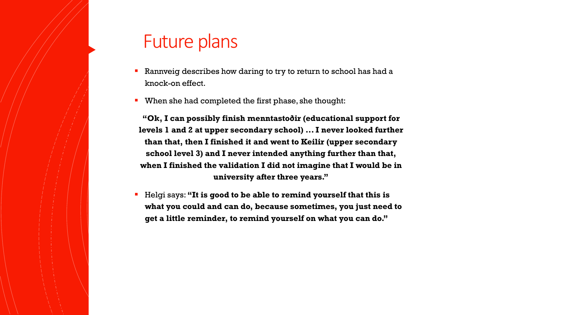## Future plans

- Rannveig describes how daring to try to return to school has had a knock-on effect.
- When she had completed the first phase, she thought:

**"Ok, I can possibly finish menntastoðir (educational support for levels 1 and 2 at upper secondary school) ... I never looked further than that, then I finished it and went to Keilir (upper secondary school level 3) and I never intended anything further than that, when I finished the validation I did not imagine that I would be in university after three years."**

 Helgi says: **"It is good to be able to remind yourself that this is what you could and can do, because sometimes, you just need to get a little reminder, to remind yourself on what you can do."**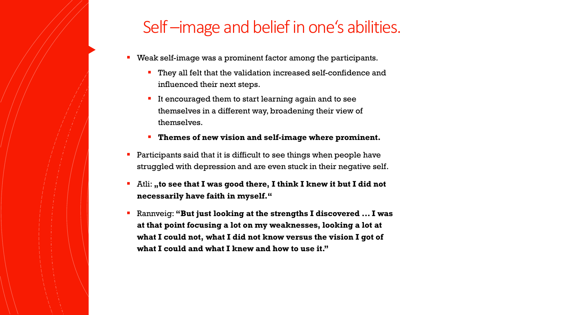#### Self-image and belief in one's abilities.

- **Weak self-image was a prominent factor among the participants.** 
	- They all felt that the validation increased self-confidence and influenced their next steps.
	- It encouraged them to start learning again and to see themselves in a different way, broadening their view of themselves.
	- **Themes of new vision and self-image where prominent.**
- **Participants said that it is difficult to see things when people have** struggled with depression and are even stuck in their negative self.
- **E** Atli: **"to see that I was good there, I think I knew it but I did not necessarily have faith in myself."**
- Rannveig: **"But just looking at the strengths I discovered ... I was at that point focusing a lot on my weaknesses, looking a lot at what I could not, what I did not know versus the vision I got of what I could and what I knew and how to use it."**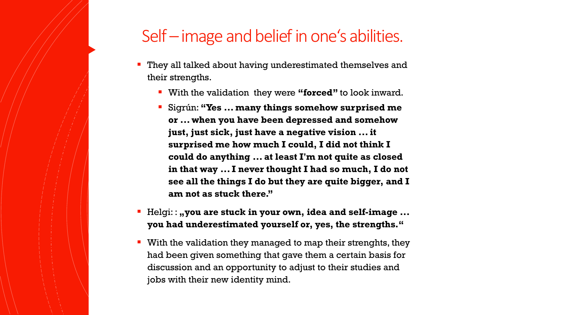## Self – image and belief in one's abilities.

- They all talked about having underestimated themselves and their strengths.
	- With the validation they were **"forced"** to look inward.
	- Sigrún: **"Yes ... many things somehow surprised me or ... when you have been depressed and somehow just, just sick, just have a negative vision ... it surprised me how much I could, I did not think I could do anything ... at least I'm not quite as closed in that way ... I never thought I had so much, I do not see all the things I do but they are quite bigger, and I am not as stuck there."**
- Helgi: : **,, you are stuck in your own, idea and self-image ... you had underestimated yourself or, yes, the strengths."**
- **With the validation they managed to map their strenghts, they** had been given something that gave them a certain basis for discussion and an opportunity to adjust to their studies and jobs with their new identity mind.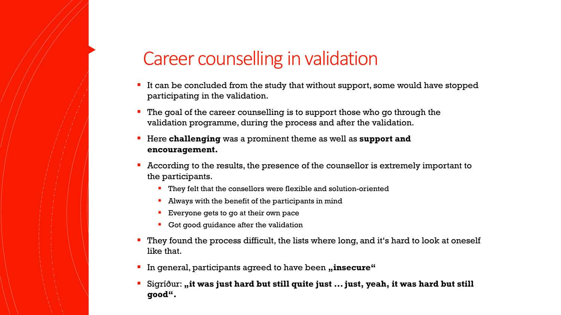# Career counselling in validation

- It can be concluded from the study that without support, some would have stopped participating in the validation.
- The goal of the career counselling is to support those who go through the validation programme, during the process and after the validation.
- Here **challenging** was a prominent theme as well as **support and encouragement.**
- According to the results, the presence of the counsellor is extremely important to the participants.
	- **They felt that the consellors were flexible and solution-oriented**
	- **Always with the benefit of the participants in mind**
	- **Everyone gets to go at their own pace**
	- Got good guidance after the validation
- They found the process difficult, the lists where long, and it's hard to look at oneself like that.
- In general, participants agreed to have been "insecure"
- Sigríður: "it was just hard but still quite just ... just, yeah, it was hard but still **good".**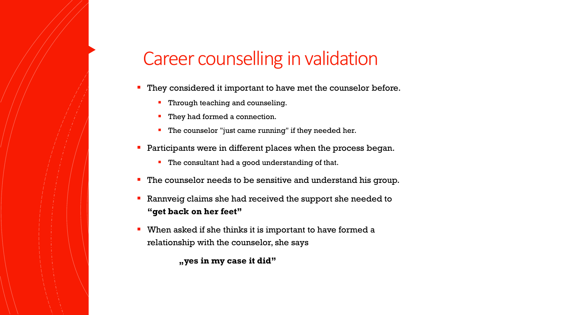# Career counselling in validation

- They considered it important to have met the counselor before.
	- Through teaching and counseling.
	- They had formed a connection.
	- **The counselor "just came running" if they needed her.**
- **Participants were in different places when the process began.** 
	- **The consultant had a good understanding of that.**
- **The counselor needs to be sensitive and understand his group.**
- Rannveig claims she had received the support she needed to **"get back on her feet"**
- When asked if she thinks it is important to have formed a relationship with the counselor, she says

**"yes in my case it did"**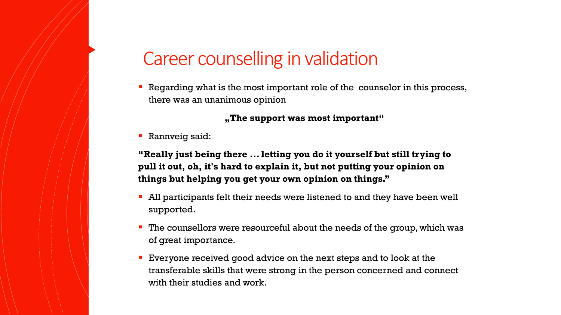# Career counselling in validation

 Regarding what is the most important role of the counselor in this process, there was an unanimous opinion

**"The support was most important"**

**Rannveig said:** 

**"Really just being there ... letting you do it yourself but still trying to pull it out, oh, it's hard to explain it, but not putting your opinion on things but helping you get your own opinion on things."**

- All participants felt their needs were listened to and they have been well supported.
- The counsellors were resourceful about the needs of the group, which was of great importance.
- **Exeryone received good advice on the next steps and to look at the** transferable skills that were strong in the person concerned and connect with their studies and work.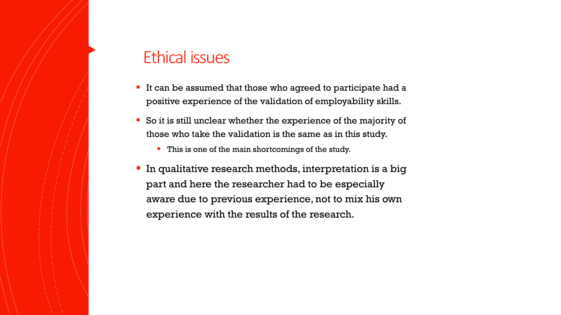#### Ethical issues

- If can be assumed that those who agreed to participate had a positive experience of the validation of employability skills.
- So it is still unclear whether the experience of the majority of those who take the validation is the same as in this study.
	- **This is one of the main shortcomings of the study.**
- **In qualitative research methods, interpretation is a big** part and here the researcher had to be especially aware due to previous experience, not to mix his own experience with the results of the research.